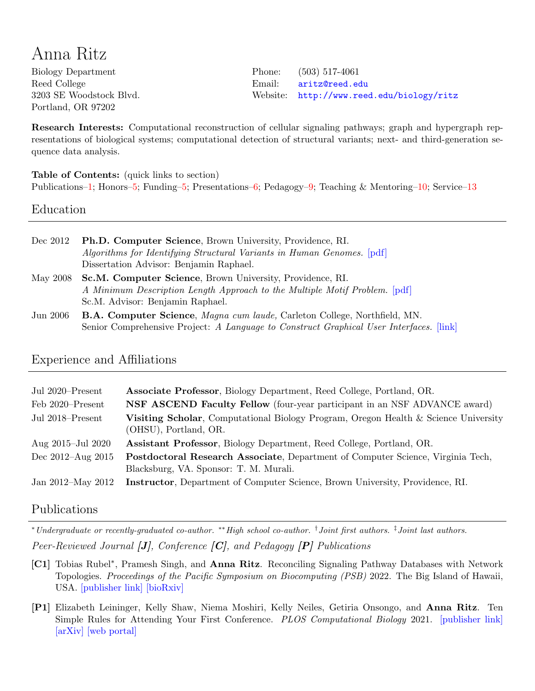# Anna Ritz

Biology Department Reed College 3203 SE Woodstock Blvd. Portland, OR 97202

Phone: (503) 517-4061 Email: [aritz@reed.edu](mailto:aritz@reed.edu) Website: <http://www.reed.edu/biology/ritz>

Research Interests: Computational reconstruction of cellular signaling pathways; graph and hypergraph representations of biological systems; computational detection of structural variants; next- and third-generation sequence data analysis.

Table of Contents: (quick links to section)

Publications[–1;](#page-0-0) Honors[–5;](#page-4-0) Funding[–5;](#page-4-1) Presentations[–6;](#page-5-0) Pedagogy[–9;](#page-8-0) Teaching & Mentoring[–10;](#page-9-0) Service[–13](#page-12-0)

Education

| Dec 2012 | <b>Ph.D. Computer Science</b> , Brown University, Providence, RI.<br>Algorithms for Identifying Structural Variants in Human Genomes. [pdf]<br>Dissertation Advisor: Benjamin Raphael.                                   |
|----------|--------------------------------------------------------------------------------------------------------------------------------------------------------------------------------------------------------------------------|
| May 2008 | Sc.M. Computer Science, Brown University, Providence, RI.<br>A Minimum Description Length Approach to the Multiple Motif Problem. [pdf]                                                                                  |
| Jun 2006 | Sc.M. Advisor: Benjamin Raphael.<br><b>B.A. Computer Science</b> , <i>Magna cum laude</i> , Carleton College, Northfield, MN.<br>Senior Comprehensive Project: A Language to Construct Graphical User Interfaces. [link] |

# Experience and Affiliations

| Jul 2020–Present      | <b>Associate Professor</b> , Biology Department, Reed College, Portland, OR.                                              |
|-----------------------|---------------------------------------------------------------------------------------------------------------------------|
| Feb 2020-Present      | <b>NSF ASCEND Faculty Fellow</b> (four-year participant in an NSF ADVANCE award)                                          |
| Jul 2018–Present      | Visiting Scholar, Computational Biology Program, Oregon Health & Science University<br>(OHSU), Portland, OR.              |
| Aug 2015-Jul 2020     | Assistant Professor, Biology Department, Reed College, Portland, OR.                                                      |
| Dec $2012 - Aug 2015$ | Postdoctoral Research Associate, Department of Computer Science, Virginia Tech,<br>Blacksburg, VA. Sponsor: T. M. Murali. |
| Jan 2012–May 2012     | Instructor, Department of Computer Science, Brown University, Providence, RI.                                             |

# <span id="page-0-0"></span>Publications

<sup>∗</sup>Undergraduate or recently-graduated co-author. ∗∗High school co-author. †Joint first authors. ‡Joint last authors. Peer-Reviewed Journal  $[J]$ , Conference  $[C]$ , and Pedagogy  $[P]$  Publications

- [C1] Tobias Rubel<sup>\*</sup>, Pramesh Singh, and Anna Ritz. Reconciling Signaling Pathway Databases with Network Topologies. Proceedings of the Pacific Symposium on Biocomputing (PSB) 2022. The Big Island of Hawaii, USA. [\[publisher link\]](https://psb.stanford.edu/psb-online/proceedings/psb22/rubel.pdf) [\[bioRxiv\]](https://biorxiv.org/cgi/content/short/2021.08.03.454954v1)
- [P1] Elizabeth Leininger, Kelly Shaw, Niema Moshiri, Kelly Neiles, Getiria Onsongo, and Anna Ritz. Ten Simple Rules for Attending Your First Conference. PLOS Computational Biology 2021. [\[publisher link\]](https://journals.plos.org/ploscompbiol/article?id=10.1371/journal.pcbi.1009133) [\[arXiv\]](https://arxiv.org/abs/2101.11706) [\[web portal\]](https://sites.google.com/macalester.edu/simplerules/home)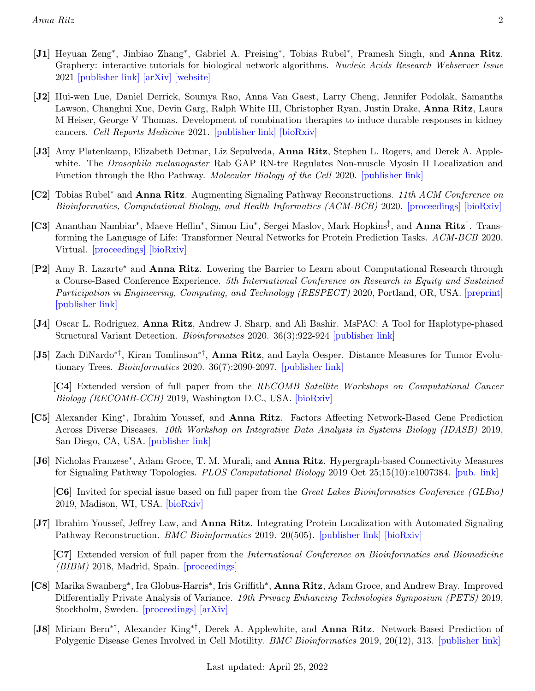- [J1] Heyuan Zeng<sup>∗</sup>, Jinbiao Zhang<sup>∗</sup>, Gabriel A. Preising<sup>∗</sup>, Tobias Rubel<sup>∗</sup>, Pramesh Singh, and Anna Ritz. Graphery: interactive tutorials for biological network algorithms. Nucleic Acids Research Webserver Issue 2021 [\[publisher link\]](https://academic.oup.com/nar/article/49/W1/W257/6284175) [\[arXiv\]](http://arxiv.org/abs/2102.03469) [\[website\]](https://graphery.reedcompbio.org/)
- [J2] Hui-wen Lue, Daniel Derrick, Soumya Rao, Anna Van Gaest, Larry Cheng, Jennifer Podolak, Samantha Lawson, Changhui Xue, Devin Garg, Ralph White III, Christopher Ryan, Justin Drake, Anna Ritz, Laura M Heiser, George V Thomas. Development of combination therapies to induce durable responses in kidney cancers. Cell Reports Medicine 2021. [\[publisher link\]](https://www.cell.com/cell-reports-medicine/fulltext/S2666-3791(21)00089-6) [\[bioRxiv\]](https://www.biorxiv.org/content/10.1101/2020.07.25.221507v1)
- [J3] Amy Platenkamp, Elizabeth Detmar, Liz Sepulveda, Anna Ritz, Stephen L. Rogers, and Derek A. Applewhite. The *Drosophila melanogaster* Rab GAP RN-tre Regulates Non-muscle Myosin II Localization and Function through the Rho Pathway. Molecular Biology of the Cell 2020. [\[publisher link\]](https://www.molbiolcell.org/doi/10.1091/mbc.E20-03-0181)
- [C2] Tobias Rubel<sup>∗</sup> and Anna Ritz. Augmenting Signaling Pathway Reconstructions. 11th ACM Conference on Bioinformatics, Computational Biology, and Health Informatics (ACM-BCB) 2020. [\[proceedings\]](https://dl.acm.org/doi/10.1145/3388440.3412411) [\[bioRxiv\]](https://www.biorxiv.org/content/10.1101/2020.06.16.155853v1)
- [C3] Ananthan Nambiar<sup>\*</sup>, Maeve Heflin<sup>\*</sup>, Simon Liu<sup>\*</sup>, Sergei Maslov, Mark Hopkins<sup>‡</sup>, and **Anna Ritz<sup>‡</sup>**. Transforming the Language of Life: Transformer Neural Networks for Protein Prediction Tasks. ACM-BCB 2020, Virtual. [\[proceedings\]](https://dl.acm.org/doi/10.1145/3388440.3412467) [\[bioRxiv\]](https://www.biorxiv.org/content/10.1101/2020.06.15.153643v1)
- [P2] Amy R. Lazarte<sup>∗</sup> and Anna Ritz. Lowering the Barrier to Learn about Computational Research through a Course-Based Conference Experience. 5th International Conference on Research in Equity and Sustained Participation in Engineering, Computing, and Technology (RESPECT) 2020, Portland, OR, USA. [\[preprint\]](http://respect2020.stcbp.org/wp-content/uploads/2020/08/8_Experience_25_paper_42.pdf) [\[publisher link\]](https://ieeexplore.ieee.org/document/9272501)
- [J4] Oscar L. Rodriguez, Anna Ritz, Andrew J. Sharp, and Ali Bashir. MsPAC: A Tool for Haplotype-phased Structural Variant Detection. Bioinformatics 2020. 36(3):922-924 [\[publisher link\]](https://academic.oup.com/bioinformatics/article-abstract/36/3/922/5545544)
- [J5] Zach DiNardo∗†, Kiran Tomlinson∗† , Anna Ritz, and Layla Oesper. Distance Measures for Tumor Evolutionary Trees. *Bioinformatics* 2020. 36(7):2090-2097.  $[{\text{public} \text{ph}}]$

[C4] Extended version of full paper from the RECOMB Satellite Workshops on Computational Cancer Biology (RECOMB-CCB) 2019, Washington D.C., USA. [\[bioRxiv\]](https://www.bioRxiv.org/content/10.1101/591107v1)

- [C5] Alexander King<sup>\*</sup>, Ibrahim Youssef, and Anna Ritz. Factors Affecting Network-Based Gene Prediction Across Diverse Diseases. 10th Workshop on Integrative Data Analysis in Systems Biology (IDASB) 2019, San Diego, CA, USA. [\[publisher link\]](https://ieeexplore.ieee.org/document/8983358)
- [J6] Nicholas Franzese<sup>\*</sup>, Adam Groce, T. M. Murali, and Anna Ritz. Hypergraph-based Connectivity Measures for Signaling Pathway Topologies. PLOS Computational Biology 2019 Oct 25;15(10):e1007384. [\[pub. link\]](https://journals.plos.org/ploscompbiol/article?id=10.1371/journal.pcbi.1007384)

[C6] Invited for special issue based on full paper from the Great Lakes Bioinformatics Conference (GLBio) 2019, Madison, WI, USA. [\[bioRxiv\]](https://www.bioRxiv.org/content/10.1101/593913v2)

[J7] Ibrahim Youssef, Jeffrey Law, and **Anna Ritz**. Integrating Protein Localization with Automated Signaling Pathway Reconstruction. *BMC Bioinformatics* 2019. 20(505). [\[publisher link\]](https://bmcbioinformatics.biomedcentral.com/articles/10.1186/s12859-019-3077-x) [\[bioRxiv\]](https://www.bioRxiv.org/content/10.1101/609149v1)

[C7] Extended version of full paper from the International Conference on Bioinformatics and Biomedicine (BIBM) 2018, Madrid, Spain. [\[proceedings\]](https://ieeexplore.ieee.org/document/8621571)

- [C8] Marika Swanberg<sup>∗</sup> , Ira Globus-Harris<sup>∗</sup> , Iris Griffith<sup>∗</sup> , Anna Ritz, Adam Groce, and Andrew Bray. Improved Differentially Private Analysis of Variance. 19th Privacy Enhancing Technologies Symposium (PETS) 2019, Stockholm, Sweden. [\[proceedings\]](https://content.sciendo.com/view/journals/popets/2019/3/article-p310.xml) [\[arXiv\]](https://arxiv.org/abs/1903.00534)
- [J8] Miriam Bern∗†, Alexander King∗†, Derek A. Applewhite, and Anna Ritz. Network-Based Prediction of Polygenic Disease Genes Involved in Cell Motility. *BMC Bioinformatics* 2019, 20(12), 313. [\[publisher link\]](https://bmcbioinformatics.biomedcentral.com/articles/10.1186/s12859-019-2834-1)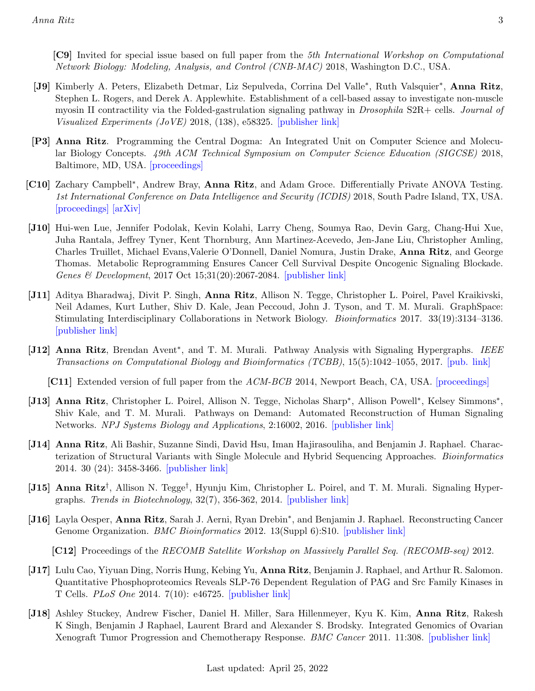- [J9] Kimberly A. Peters, Elizabeth Detmar, Liz Sepulveda, Corrina Del Valle<sup>\*</sup>, Ruth Valsquier<sup>\*</sup>, Anna Ritz, Stephen L. Rogers, and Derek A. Applewhite. Establishment of a cell-based assay to investigate non-muscle myosin II contractility via the Folded-gastrulation signaling pathway in *Drosophila* S2R+ cells. *Journal of* Visualized Experiments (JoVE) 2018, (138), e58325. [\[publisher link\]](https://www.jove.com/video/58325/a-cell-based-assay-to-investigate-non-muscle-myosin-ii-contractility)
- [P3] Anna Ritz. Programming the Central Dogma: An Integrated Unit on Computer Science and Molecular Biology Concepts. 49th ACM Technical Symposium on Computer Science Education (SIGCSE) 2018, Baltimore, MD, USA. [\[proceedings\]](https://dl.acm.org/citation.cfm?id=3159450.3159590)
- [C10] Zachary Campbell<sup>\*</sup>, Andrew Bray, Anna Ritz, and Adam Groce. Differentially Private ANOVA Testing. 1st International Conference on Data Intelligence and Security (ICDIS) 2018, South Padre Island, TX, USA. [\[proceedings\]](https://ieeexplore.ieee.org/document/8367776) [\[arXiv\]](https://arxiv.org/abs/1711.01335)
- [J10] Hui-wen Lue, Jennifer Podolak, Kevin Kolahi, Larry Cheng, Soumya Rao, Devin Garg, Chang-Hui Xue, Juha Rantala, Jeffrey Tyner, Kent Thornburg, Ann Martinez-Acevedo, Jen-Jane Liu, Christopher Amling, Charles Truillet, Michael Evans,Valerie O'Donnell, Daniel Nomura, Justin Drake, Anna Ritz, and George Thomas. Metabolic Reprogramming Ensures Cancer Cell Survival Despite Oncogenic Signaling Blockade. Genes & Development, 2017 Oct 15;31(20):2067-2084. [\[publisher link\]](http://genesdev.cshlp.org/content/early/2017/11/14/gad.305292.117)
- [J11] Aditya Bharadwaj, Divit P. Singh, **Anna Ritz**, Allison N. Tegge, Christopher L. Poirel, Pavel Kraikivski, Neil Adames, Kurt Luther, Shiv D. Kale, Jean Peccoud, John J. Tyson, and T. M. Murali. GraphSpace: Stimulating Interdisciplinary Collaborations in Network Biology. Bioinformatics 2017. 33(19):3134–3136. [\[publisher link\]](https://doi.org/10.1093/bioinformatics/btx382)
- [J12] Anna Ritz, Brendan Avent<sup>\*</sup>, and T. M. Murali. Pathway Analysis with Signaling Hypergraphs. IEEE Transactions on Computational Biology and Bioinformatics (TCBB), 15(5):1042–1055, 2017. [\[pub. link\]](http://dx.doi.org/10.1109/TCBB.2015.2459681)

[C11] Extended version of full paper from the ACM-BCB 2014, Newport Beach, CA, USA. [\[proceedings\]](https://dl.acm.org/citation.cfm?id=2649450)

- [J13] Anna Ritz, Christopher L. Poirel, Allison N. Tegge, Nicholas Sharp<sup>\*</sup>, Allison Powell<sup>\*</sup>, Kelsey Simmons<sup>\*</sup>, Shiv Kale, and T. M. Murali. Pathways on Demand: Automated Reconstruction of Human Signaling Networks. NPJ Systems Biology and Applications, 2:16002, 2016. [\[publisher link\]](http://www.nature.com/articles/npjsba20162)
- [J14] Anna Ritz, Ali Bashir, Suzanne Sindi, David Hsu, Iman Hajirasouliha, and Benjamin J. Raphael. Characterization of Structural Variants with Single Molecule and Hybrid Sequencing Approaches. Bioinformatics 2014. 30 (24): 3458-3466. [\[publisher link\]](http://bioinformatics.oxfordjournals.org/content/30/24/3458.long)
- [J15] Anna Ritz<sup>†</sup>, Allison N. Tegge<sup>†</sup>, Hyunju Kim, Christopher L. Poirel, and T. M. Murali. Signaling Hypergraphs. Trends in Biotechnology, 32(7), 356-362, 2014. [\[publisher link\]](http://www.sciencedirect.com/science/article/pii/S0167779914000717)
- [J16] Layla Oesper, Anna Ritz, Sarah J. Aerni, Ryan Drebin<sup>\*</sup>, and Benjamin J. Raphael. Reconstructing Cancer Genome Organization. *BMC Bioinformatics* 2012. 13(Suppl 6):S10. [\[publisher link\]](http://www.biomedcentral.com/1471-2105/13/S6/S10)

[C12] Proceedings of the RECOMB Satellite Workshop on Massively Parallel Seq. (RECOMB-seq) 2012.

- [J17] Lulu Cao, Yiyuan Ding, Norris Hung, Kebing Yu, Anna Ritz, Benjamin J. Raphael, and Arthur R. Salomon. Quantitative Phosphoproteomics Reveals SLP-76 Dependent Regulation of PAG and Src Family Kinases in T Cells. PLoS One 2014. 7(10): e46725. [\[publisher link\]](http://journals.plos.org/plosone/article?id=10.1371/journal.pone.0046725)
- [J18] Ashley Stuckey, Andrew Fischer, Daniel H. Miller, Sara Hillenmeyer, Kyu K. Kim, Anna Ritz, Rakesh K Singh, Benjamin J Raphael, Laurent Brard and Alexander S. Brodsky. Integrated Genomics of Ovarian Xenograft Tumor Progression and Chemotherapy Response. BMC Cancer 2011. 11:308. [\[publisher link\]](http://www.biomedcentral.com/1471-2407/11/308)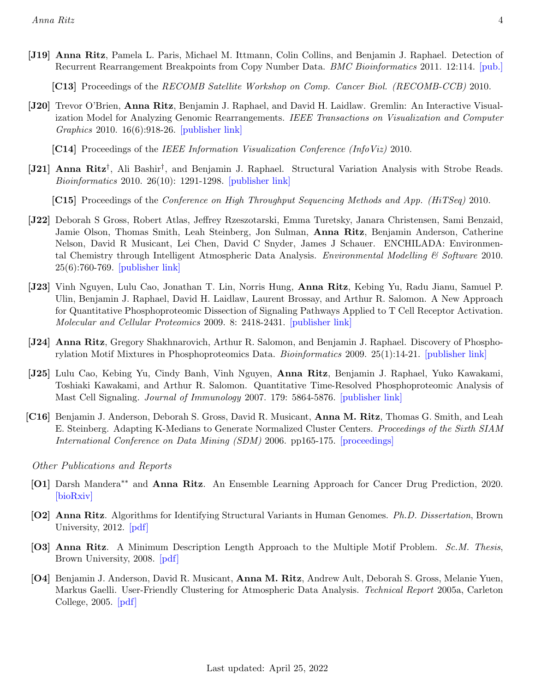[J19] Anna Ritz, Pamela L. Paris, Michael M. Ittmann, Colin Collins, and Benjamin J. Raphael. Detection of Recurrent Rearrangement Breakpoints from Copy Number Data. *BMC Bioinformatics* 2011. 12:114. [\[pub.\]](http://www.biomedcentral.com/1471-2105/12/114)

[C13] Proceedings of the RECOMB Satellite Workshop on Comp. Cancer Biol. (RECOMB-CCB) 2010.

[J20] Trevor O'Brien, Anna Ritz, Benjamin J. Raphael, and David H. Laidlaw. Gremlin: An Interactive Visualization Model for Analyzing Genomic Rearrangements. IEEE Transactions on Visualization and Computer Graphics 2010. 16(6):918-26. [\[publisher link\]](http://ieeexplore.ieee.org/xpl/freeabs_all.jsp?arnumber=5613428)

[C14] Proceedings of the IEEE Information Visualization Conference (InfoViz) 2010.

[J21] Anna Ritz† , Ali Bashir† , and Benjamin J. Raphael. Structural Variation Analysis with Strobe Reads. Bioinformatics 2010. 26(10): 1291-1298. [\[publisher link\]](http://bioinformatics.oxfordjournals.org/content/26/10/1291)

[C15] Proceedings of the Conference on High Throughput Sequencing Methods and App. (HiTSeq) 2010.

- [J22] Deborah S Gross, Robert Atlas, Jeffrey Rzeszotarski, Emma Turetsky, Janara Christensen, Sami Benzaid, Jamie Olson, Thomas Smith, Leah Steinberg, Jon Sulman, Anna Ritz, Benjamin Anderson, Catherine Nelson, David R Musicant, Lei Chen, David C Snyder, James J Schauer. ENCHILADA: Environmental Chemistry through Intelligent Atmospheric Data Analysis. Environmental Modelling  $\mathcal{C}'$  Software 2010. 25(6):760-769. [\[publisher link\]](http://portal.acm.org/citation.cfm?id=1747059)
- [J23] Vinh Nguyen, Lulu Cao, Jonathan T. Lin, Norris Hung, Anna Ritz, Kebing Yu, Radu Jianu, Samuel P. Ulin, Benjamin J. Raphael, David H. Laidlaw, Laurent Brossay, and Arthur R. Salomon. A New Approach for Quantitative Phosphoproteomic Dissection of Signaling Pathways Applied to T Cell Receptor Activation. Molecular and Cellular Proteomics 2009. 8: 2418-2431. [\[publisher link\]](http://www.mcponline.org/content/8/11/2418.full)
- [J24] Anna Ritz, Gregory Shakhnarovich, Arthur R. Salomon, and Benjamin J. Raphael. Discovery of Phosphorylation Motif Mixtures in Phosphoproteomics Data. *Bioinformatics* 2009. 25(1):14-21. [\[publisher link\]](http://bioinformatics.oxfordjournals.org/content/25/1/14.short)
- [J25] Lulu Cao, Kebing Yu, Cindy Banh, Vinh Nguyen, Anna Ritz, Benjamin J. Raphael, Yuko Kawakami, Toshiaki Kawakami, and Arthur R. Salomon. Quantitative Time-Resolved Phosphoproteomic Analysis of Mast Cell Signaling. Journal of Immunology 2007. 179: 5864-5876. [\[publisher link\]](http://www.jimmunol.org/content/179/9/5864.long)
- [C16] Benjamin J. Anderson, Deborah S. Gross, David R. Musicant, Anna M. Ritz, Thomas G. Smith, and Leah E. Steinberg. Adapting K-Medians to Generate Normalized Cluster Centers. Proceedings of the Sixth SIAM International Conference on Data Mining (SDM) 2006. pp165-175. [\[proceedings\]](http://www.siam.org/meetings/sdm06/proceedings/015andersonb.pdf)

Other Publications and Reports

- [O1] Darsh Mandera<sup>\*\*</sup> and **Anna Ritz**. An Ensemble Learning Approach for Cancer Drug Prediction, 2020. [\[bioRxiv\]](https://www.biorxiv.org/content/10.1101/2020.08.10.245142v1)
- [O2] Anna Ritz. Algorithms for Identifying Structural Variants in Human Genomes. Ph.D. Dissertation, Brown University, 2012. [\[pdf\]](http://cs.brown.edu/research/pubs/theses/phd/2013/ritz.pdf)
- [O3] Anna Ritz. A Minimum Description Length Approach to the Multiple Motif Problem. Sc.M. Thesis, Brown University, 2008. [\[pdf\]](http://www.cs.brown.edu/research/pubs/theses/masters/2008/ritz.pdf)
- [O4] Benjamin J. Anderson, David R. Musicant, Anna M. Ritz, Andrew Ault, Deborah S. Gross, Melanie Yuen, Markus Gaelli. User-Friendly Clustering for Atmospheric Data Analysis. Technical Report 2005a, Carleton College, 2005. [\[pdf\]](http://cs.carleton.edu/faculty/dmusican/tech2005a.pdf)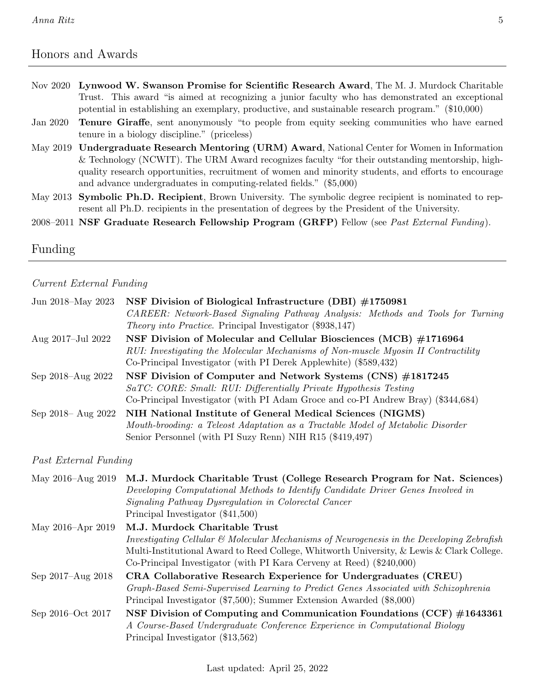# <span id="page-4-0"></span>Honors and Awards

- Nov 2020 Lynwood W. Swanson Promise for Scientific Research Award, The M. J. Murdock Charitable Trust. This award "is aimed at recognizing a junior faculty who has demonstrated an exceptional potential in establishing an exemplary, productive, and sustainable research program." (\$10,000)
- Jan 2020 Tenure Giraffe, sent anonymously "to people from equity seeking communities who have earned tenure in a biology discipline." (priceless)
- May 2019 Undergraduate Research Mentoring (URM) Award, National Center for Women in Information & Technology (NCWIT). The URM Award recognizes faculty "for their outstanding mentorship, highquality research opportunities, recruitment of women and minority students, and efforts to encourage and advance undergraduates in computing-related fields." (\$5,000)
- May 2013 Symbolic Ph.D. Recipient, Brown University. The symbolic degree recipient is nominated to represent all Ph.D. recipients in the presentation of degrees by the President of the University.
- 2008–2011 NSF Graduate Research Fellowship Program (GRFP) Fellow (see Past External Funding).

# <span id="page-4-1"></span>Funding

#### Current External Funding

| Jun 2018–May 2023     | NSF Division of Biological Infrastructure (DBI) #1750981<br>CAREER: Network-Based Signaling Pathway Analysis: Methods and Tools for Turning<br><i>Theory into Practice.</i> Principal Investigator (\$938,147)                                                                                             |
|-----------------------|------------------------------------------------------------------------------------------------------------------------------------------------------------------------------------------------------------------------------------------------------------------------------------------------------------|
| Aug 2017-Jul 2022     | NSF Division of Molecular and Cellular Biosciences (MCB) #1716964<br>RUI: Investigating the Molecular Mechanisms of Non-muscle Myosin II Contractility<br>Co-Principal Investigator (with PI Derek Applewhite) (\$589,432)                                                                                 |
| Sep 2018–Aug 2022     | NSF Division of Computer and Network Systems (CNS) #1817245<br>SaTC: CORE: Small: RUI: Differentially Private Hypothesis Testing<br>Co-Principal Investigator (with PI Adam Groce and co-PI Andrew Bray) (\$344,684)                                                                                       |
| Sep 2018 - Aug 2022   | NIH National Institute of General Medical Sciences (NIGMS)<br>Mouth-brooding: a Teleost Adaptation as a Tractable Model of Metabolic Disorder<br>Senior Personnel (with PI Suzy Renn) NIH R15 (\$419,497)                                                                                                  |
| Past External Funding |                                                                                                                                                                                                                                                                                                            |
| May 2016–Aug 2019     | M.J. Murdock Charitable Trust (College Research Program for Nat. Sciences)<br>Developing Computational Methods to Identify Candidate Driver Genes Involved in<br>Signaling Pathway Dysregulation in Colorectal Cancer<br>Principal Investigator (\$41,500)                                                 |
| May 2016–Apr 2019     | M.J. Murdock Charitable Trust<br>Investigating Cellular $\mathcal B$ Molecular Mechanisms of Neurogenesis in the Developing Zebrafish<br>Multi-Institutional Award to Reed College, Whitworth University, & Lewis & Clark College.<br>Co-Principal Investigator (with PI Kara Cerveny at Reed) (\$240,000) |
| Sep 2017–Aug 2018     | CRA Collaborative Research Experience for Undergraduates (CREU)<br>Graph-Based Semi-Supervised Learning to Predict Genes Associated with Schizophrenia<br>Principal Investigator (\$7,500); Summer Extension Awarded (\$8,000)                                                                             |
| Sep 2016–Oct 2017     | NSF Division of Computing and Communication Foundations (CCF) $\#1643361$                                                                                                                                                                                                                                  |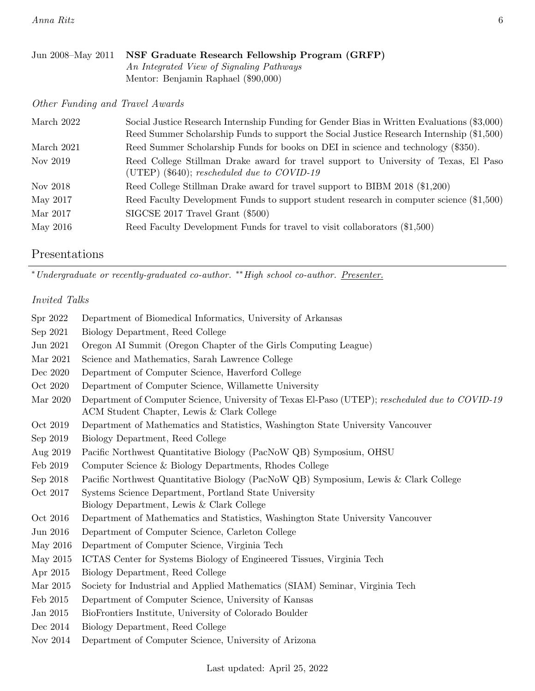| Jun 2008–May 2011 NSF Graduate Research Fellowship Program (GRFP) |
|-------------------------------------------------------------------|
| An Integrated View of Signaling Pathways                          |
| Mentor: Benjamin Raphael (\$90,000)                               |

Other Funding and Travel Awards

| March 2022 | Social Justice Research Internship Funding for Gender Bias in Written Evaluations (\$3,000)<br>Reed Summer Scholarship Funds to support the Social Justice Research Internship (\$1,500) |
|------------|------------------------------------------------------------------------------------------------------------------------------------------------------------------------------------------|
| March 2021 | Reed Summer Scholarship Funds for books on DEI in science and technology (\$350).                                                                                                        |
| Nov 2019   | Reed College Stillman Drake award for travel support to University of Texas, El Paso<br>(UTEP) $(\$640)$ ; rescheduled due to COVID-19                                                   |
| Nov 2018   | Reed College Stillman Drake award for travel support to BIBM 2018 (\$1,200)                                                                                                              |
| May 2017   | Reed Faculty Development Funds to support student research in computer science (\$1,500)                                                                                                 |
| Mar 2017   | $SIGCSE$ 2017 Travel Grant (\$500)                                                                                                                                                       |
| May 2016   | Reed Faculty Development Funds for travel to visit collaborators (\$1,500)                                                                                                               |

# <span id="page-5-0"></span>Presentations

 $\emph{``Undergraduate or recently-graduate co-author. ``High school co-author. }$   $\underline{Presenter.}$ 

### Invited Talks

| Spr 2022 | Department of Biomedical Informatics, University of Arkansas                                                                                  |
|----------|-----------------------------------------------------------------------------------------------------------------------------------------------|
| Sep 2021 | Biology Department, Reed College                                                                                                              |
| Jun 2021 | Oregon AI Summit (Oregon Chapter of the Girls Computing League)                                                                               |
| Mar 2021 | Science and Mathematics, Sarah Lawrence College                                                                                               |
| Dec 2020 | Department of Computer Science, Haverford College                                                                                             |
| Oct 2020 | Department of Computer Science, Willamette University                                                                                         |
| Mar 2020 | Department of Computer Science, University of Texas El-Paso (UTEP); rescheduled due to COVID-19<br>ACM Student Chapter, Lewis & Clark College |
| Oct 2019 | Department of Mathematics and Statistics, Washington State University Vancouver                                                               |
| Sep 2019 | Biology Department, Reed College                                                                                                              |
| Aug 2019 | Pacific Northwest Quantitative Biology (PacNoW QB) Symposium, OHSU                                                                            |
| Feb 2019 | Computer Science & Biology Departments, Rhodes College                                                                                        |
| Sep 2018 | Pacific Northwest Quantitative Biology (PacNoW QB) Symposium, Lewis & Clark College                                                           |
| Oct 2017 | Systems Science Department, Portland State University<br>Biology Department, Lewis & Clark College                                            |
| Oct 2016 | Department of Mathematics and Statistics, Washington State University Vancouver                                                               |
| Jun 2016 | Department of Computer Science, Carleton College                                                                                              |
| May 2016 | Department of Computer Science, Virginia Tech                                                                                                 |
| May 2015 | ICTAS Center for Systems Biology of Engineered Tissues, Virginia Tech                                                                         |
| Apr 2015 | Biology Department, Reed College                                                                                                              |
| Mar 2015 | Society for Industrial and Applied Mathematics (SIAM) Seminar, Virginia Tech                                                                  |
| Feb 2015 | Department of Computer Science, University of Kansas                                                                                          |
| Jan 2015 | BioFrontiers Institute, University of Colorado Boulder                                                                                        |
| Dec 2014 | Biology Department, Reed College                                                                                                              |
| Nov 2014 | Department of Computer Science, University of Arizona                                                                                         |

Last updated: April 25, 2022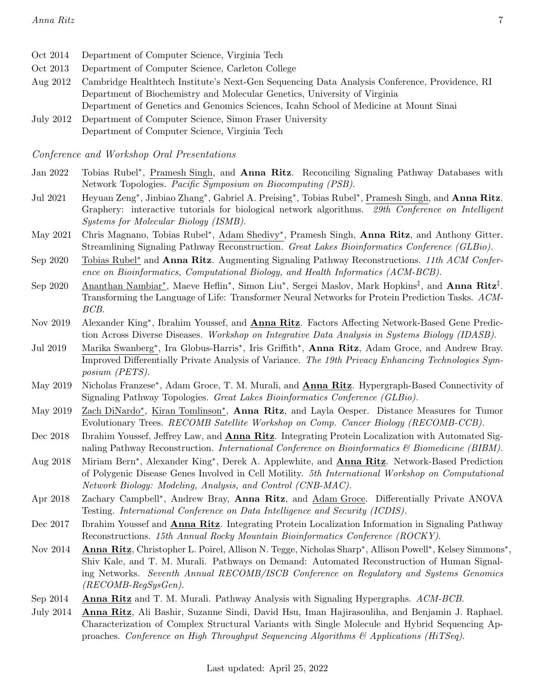- Oct 2014 Department of Computer Science, Virginia Tech
- Oct 2013 Department of Computer Science, Carleton College
- Aug 2012 Cambridge Healthtech Institute's Next-Gen Sequencing Data Analysis Conference, Providence, RI Department of Biochemistry and Molecular Genetics, University of Virginia Department of Genetics and Genomics Sciences, Icahn School of Medicine at Mount Sinai
- July 2012 Department of Computer Science, Simon Fraser University Department of Computer Science, Virginia Tech

Conference and Workshop Oral Presentations

- Jan 2022 Tobias Rubel<sup>\*</sup>, Pramesh Singh, and **Anna Ritz**. Reconciling Signaling Pathway Databases with Network Topologies. Pacific Symposium on Biocomputing (PSB).
- Jul 2021 Heyuan Zeng<sup>∗</sup>, Jinbiao Zhang<sup>∗</sup>, Gabriel A. Preising<sup>∗</sup>, Tobias Rubel<sup>∗</sup>, Pramesh Singh, and Anna Ritz. Graphery: interactive tutorials for biological network algorithms. 29th Conference on Intelligent Systems for Molecular Biology (ISMB).
- May 2021 Chris Magnano, Tobias Rubel<sup>\*</sup>, Adam Shedivy<sup>\*</sup>, Pramesh Singh, Anna Ritz, and Anthony Gitter. Streamlining Signaling Pathway Reconstruction. Great Lakes Bioinformatics Conference (GLBio).
- Sep 2020 Tobias Rubel<sup>∗</sup> and Anna Ritz. Augmenting Signaling Pathway Reconstructions. 11th ACM Conference on Bioinformatics, Computational Biology, and Health Informatics (ACM-BCB).
- Sep 2020 <u>Ananthan Nambiar\*,</u> Maeve Heflin\*, Simon Liu\*, Sergei Maslov, Mark Hopkins<sup>‡</sup>, and **Anna Ritz**<sup>‡</sup>. Transforming the Language of Life: Transformer Neural Networks for Protein Prediction Tasks. ACM-BCB.
- Nov 2019 Alexander King<sup>∗</sup>, Ibrahim Youssef, and **Anna Ritz**. Factors Affecting Network-Based Gene Prediction Across Diverse Diseases. Workshop on Integrative Data Analysis in Systems Biology (IDASB).
- Jul 2019 Marika Swanberg<sup>\*</sup>, Ira Globus-Harris<sup>\*</sup>, Iris Griffith<sup>\*</sup>, Anna Ritz, Adam Groce, and Andrew Bray. Improved Differentially Private Analysis of Variance. The 19th Privacy Enhancing Technologies Symposium (PETS).
- May 2019 Nicholas Franzese<sup>\*</sup>, Adam Groce, T. M. Murali, and **Anna Ritz**. Hypergraph-Based Connectivity of Signaling Pathway Topologies. Great Lakes Bioinformatics Conference (GLBio).
- May 2019 Zach DiNardo<sup>\*</sup>, Kiran Tomlinson<sup>\*</sup>, Anna Ritz, and Layla Oesper. Distance Measures for Tumor Evolutionary Trees. RECOMB Satellite Workshop on Comp. Cancer Biology (RECOMB-CCB).
- Dec 2018 Ibrahim Youssef, Jeffrey Law, and **Anna Ritz**. Integrating Protein Localization with Automated Signaling Pathway Reconstruction. *International Conference on Bioinformatics*  $\mathscr$  *Biomedicine (BIBM).*
- Aug 2018 Miriam Bern<sup>∗</sup>, Alexander King<sup>∗</sup>, Derek A. Applewhite, and **Anna Ritz**. Network-Based Prediction of Polygenic Disease Genes Involved in Cell Motility. 5th International Workshop on Computational Network Biology: Modeling, Analysis, and Control (CNB-MAC).
- Apr 2018 Zachary Campbell<sup>\*</sup>, Andrew Bray, Anna Ritz, and Adam Groce. Differentially Private ANOVA Testing. International Conference on Data Intelligence and Security (ICDIS).
- Dec 2017 Ibrahim Youssef and Anna Ritz. Integrating Protein Localization Information in Signaling Pathway Reconstructions. 15th Annual Rocky Mountain Bioinformatics Conference (ROCKY).
- Nov 2014 Anna Ritz, Christopher L. Poirel, Allison N. Tegge, Nicholas Sharp<sup>∗</sup>, Allison Powell<sup>∗</sup>, Kelsey Simmons<sup>∗</sup>, Shiv Kale, and T. M. Murali. Pathways on Demand: Automated Reconstruction of Human Signaling Networks. Seventh Annual RECOMB/ISCB Conference on Regulatory and Systems Genomics (RECOMB-RegSysGen).
- Sep 2014 Anna Ritz and T. M. Murali. Pathway Analysis with Signaling Hypergraphs. ACM-BCB.
- July 2014 Anna Ritz, Ali Bashir, Suzanne Sindi, David Hsu, Iman Hajirasouliha, and Benjamin J. Raphael. Characterization of Complex Structural Variants with Single Molecule and Hybrid Sequencing Approaches. Conference on High Throughput Sequencing Algorithms  $\mathcal{C}$  Applications (HiTSeq).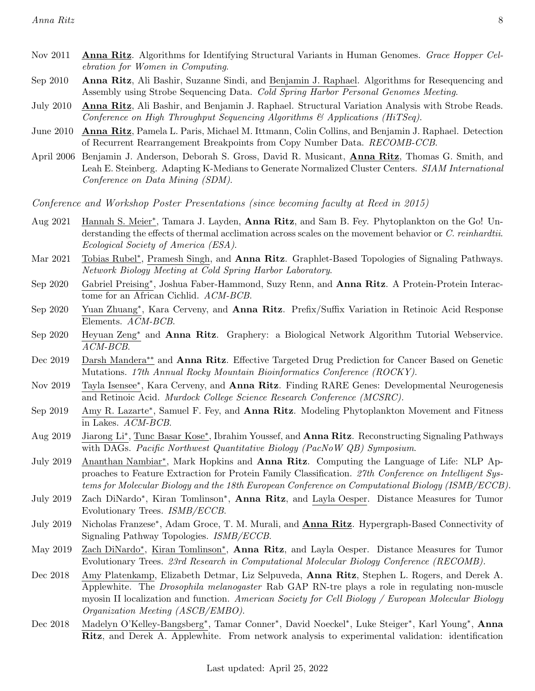- Nov 2011 Anna Ritz. Algorithms for Identifying Structural Variants in Human Genomes. Grace Hopper Celebration for Women in Computing.
- Sep 2010 Anna Ritz, Ali Bashir, Suzanne Sindi, and Benjamin J. Raphael. Algorithms for Resequencing and Assembly using Strobe Sequencing Data. Cold Spring Harbor Personal Genomes Meeting.
- July 2010 Anna Ritz, Ali Bashir, and Benjamin J. Raphael. Structural Variation Analysis with Strobe Reads. Conference on High Throughput Sequencing Algorithms  $\mathcal{C}_{\mathcal{A}}$  Applications (HiTSeq).
- June 2010 **Anna Ritz**, Pamela L. Paris, Michael M. Ittmann, Colin Collins, and Benjamin J. Raphael. Detection of Recurrent Rearrangement Breakpoints from Copy Number Data. RECOMB-CCB.
- April 2006 Benjamin J. Anderson, Deborah S. Gross, David R. Musicant, Anna Ritz, Thomas G. Smith, and Leah E. Steinberg. Adapting K-Medians to Generate Normalized Cluster Centers. SIAM International Conference on Data Mining (SDM).

Conference and Workshop Poster Presentations (since becoming faculty at Reed in 2015)

- Aug 2021 Hannah S. Meier<sup>\*</sup>, Tamara J. Layden, Anna Ritz, and Sam B. Fey. Phytoplankton on the Go! Understanding the effects of thermal acclimation across scales on the movement behavior or C. reinhardtii. Ecological Society of America (ESA).
- Mar 2021 Tobias Rubel<sup>\*</sup>, Pramesh Singh, and Anna Ritz. Graphlet-Based Topologies of Signaling Pathways. Network Biology Meeting at Cold Spring Harbor Laboratory.
- Sep 2020 Gabriel Preising<sup>\*</sup>, Joshua Faber-Hammond, Suzy Renn, and Anna Ritz. A Protein-Protein Interactome for an African Cichlid. ACM-BCB.
- Sep 2020 Yuan Zhuang<sup>∗</sup>, Kara Cerveny, and Anna Ritz. Prefix/Suffix Variation in Retinoic Acid Response Elements. ACM-BCB.
- Sep 2020 Heyuan Zeng<sup>∗</sup> and Anna Ritz. Graphery: a Biological Network Algorithm Tutorial Webservice. ACM-BCB.
- Dec 2019 Darsh Mandera<sup>∗∗</sup> and **Anna Ritz**. Effective Targeted Drug Prediction for Cancer Based on Genetic Mutations. 17th Annual Rocky Mountain Bioinformatics Conference (ROCKY).
- Nov 2019 Tayla Isensee<sup>\*</sup>, Kara Cerveny, and Anna Ritz. Finding RARE Genes: Developmental Neurogenesis and Retinoic Acid. Murdock College Science Research Conference (MCSRC).
- Sep 2019 Amy R. Lazarte<sup>\*</sup>, Samuel F. Fey, and **Anna Ritz**. Modeling Phytoplankton Movement and Fitness in Lakes. ACM-BCB.
- Aug 2019 Jiarong Li<sup>\*</sup>, Tunc Basar Kose<sup>\*</sup>, Ibrahim Youssef, and **Anna Ritz**. Reconstructing Signaling Pathways with DAGs. Pacific Northwest Quantitative Biology (PacNoW QB) Symposium.
- July 2019 Ananthan Nambiar<sup>\*</sup>, Mark Hopkins and Anna Ritz. Computing the Language of Life: NLP Approaches to Feature Extraction for Protein Family Classification. 27th Conference on Intelligent Systems for Molecular Biology and the 18th European Conference on Computational Biology (ISMB/ECCB).
- July 2019 Zach DiNardo<sup>\*</sup>, Kiran Tomlinson<sup>\*</sup>, Anna Ritz, and Layla Oesper. Distance Measures for Tumor Evolutionary Trees. ISMB/ECCB.
- July 2019 Nicholas Franzese<sup>\*</sup>, Adam Groce, T. M. Murali, and **Anna Ritz**. Hypergraph-Based Connectivity of Signaling Pathway Topologies. ISMB/ECCB.
- May 2019 Zach DiNardo<sup>\*</sup>, Kiran Tomlinson<sup>\*</sup>, Anna Ritz, and Layla Oesper. Distance Measures for Tumor Evolutionary Trees. 23rd Research in Computational Molecular Biology Conference (RECOMB).
- Dec 2018 Amy Platenkamp, Elizabeth Detmar, Liz Selpuveda, Anna Ritz, Stephen L. Rogers, and Derek A. Applewhite. The *Drosophila melanogaster* Rab GAP RN-tre plays a role in regulating non-muscle myosin II localization and function. American Society for Cell Biology / European Molecular Biology Organization Meeting (ASCB/EMBO).
- Dec 2018 Madelyn O'Kelley-Bangsberg<sup>∗</sup>, Tamar Conner<sup>∗</sup>, David Noeckel<sup>∗</sup>, Luke Steiger<sup>∗</sup>, Karl Young<sup>∗</sup>, Anna Ritz, and Derek A. Applewhite. From network analysis to experimental validation: identification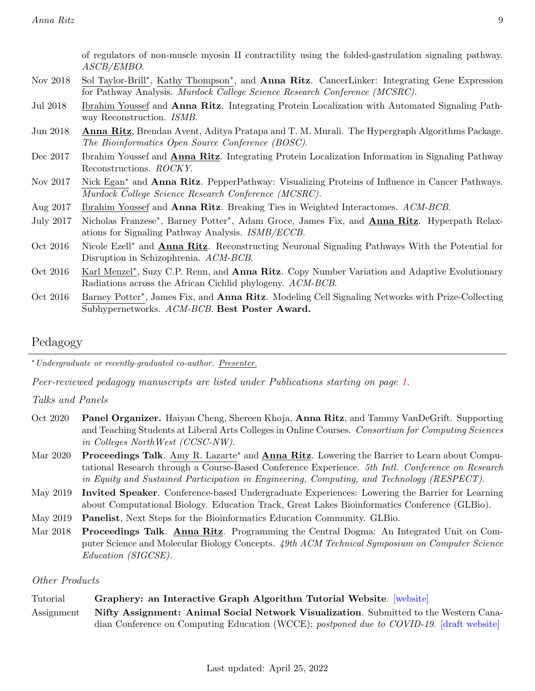of regulators of non-muscle myosin II contractility using the folded-gastrulation signaling pathway. ASCB/EMBO.

- Nov 2018 Sol Taylor-Brill<sup>\*</sup>, Kathy Thompson<sup>\*</sup>, and **Anna Ritz**. CancerLinker: Integrating Gene Expression for Pathway Analysis. Murdock College Science Research Conference (MCSRC).
- Jul 2018 Ibrahim Youssef and Anna Ritz. Integrating Protein Localization with Automated Signaling Pathway Reconstruction. ISMB.
- Jun 2018 Anna Ritz, Brendan Avent, Aditya Pratapa and T. M. Murali. The Hypergraph Algorithms Package. The Bioinformatics Open Source Conference (BOSC).
- Dec 2017 Ibrahim Youssef and **Anna Ritz**. Integrating Protein Localization Information in Signaling Pathway Reconstructions. ROCKY.
- Nov 2017 Nick Egan<sup>\*</sup> and **Anna Ritz**. PepperPathway: Visualizing Proteins of Influence in Cancer Pathways. Murdock College Science Research Conference (MCSRC).
- Aug 2017 Ibrahim Youssef and **Anna Ritz**. Breaking Ties in Weighted Interactomes. ACM-BCB.
- July 2017 Nicholas Franzese<sup>\*</sup>, Barney Potter<sup>\*</sup>, Adam Groce, James Fix, and **Anna Ritz**. Hyperpath Relaxations for Signaling Pathway Analysis. ISMB/ECCB.
- Oct 2016 Nicole Ezell<sup>∗</sup> and Anna Ritz. Reconstructing Neuronal Signaling Pathways With the Potential for Disruption in Schizophrenia. ACM-BCB.
- Oct 2016 Karl Menzel<sup>∗</sup>, Suzy C.P. Renn, and **Anna Ritz**. Copy Number Variation and Adaptive Evolutionary Radiations across the African Cichlid phylogeny. ACM-BCB.
- Oct 2016 Barney Potter<sup>\*</sup>, James Fix, and Anna Ritz. Modeling Cell Signaling Networks with Prize-Collecting Subhypernetworks. ACM-BCB. Best Poster Award.

# <span id="page-8-0"></span>Pedagogy

<sup>∗</sup>Undergraduate or recently-graduated co-author. Presenter.

Peer-reviewed pedagogy manuscripts are listed under Publications starting on page [1.](#page-0-0)

#### Talks and Panels

- Oct 2020 Panel Organizer. Haiyan Cheng, Shereen Khoja, Anna Ritz, and Tammy VanDeGrift. Supporting and Teaching Students at Liberal Arts Colleges in Online Courses. Consortium for Computing Sciences in Colleges NorthWest (CCSC-NW).
- Mar 2020 Proceedings Talk. Amy R. Lazarte<sup>\*</sup> and **Anna Ritz**. Lowering the Barrier to Learn about Computational Research through a Course-Based Conference Experience. 5th Intl. Conference on Research in Equity and Sustained Participation in Engineering, Computing, and Technology (RESPECT).
- May 2019 Invited Speaker. Conference-based Undergraduate Experiences: Lowering the Barrier for Learning about Computational Biology. Education Track, Great Lakes Bioinformatics Conference (GLBio).
- May 2019 Panelist, Next Steps for the Bioinformatics Education Community. GLBio.
- Mar 2018 Proceedings Talk. Anna Ritz. Programming the Central Dogma: An Integrated Unit on Computer Science and Molecular Biology Concepts. 49th ACM Technical Symposium on Computer Science Education (SIGCSE).

#### Other Products

#### Tutorial Graphery: an Interactive Graph Algorithm Tutorial Website. [\[website\]](https://graphery.reedcompbio.org/)

Assignment Nifty Assignment: Animal Social Network Visualization. Submitted to the Western Canadian Conference on Computing Education (WCCE); postponed due to COVID-19. [\[draft website\]](https://www.reed.edu/biology/ritz/AnnaRitz-BadgerNetwork/index.html)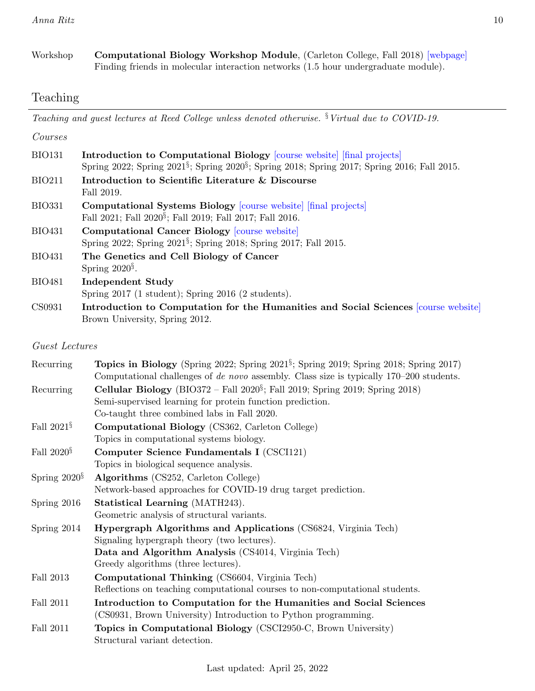Workshop Computational Biology Workshop Module, (Carleton College, Fall 2018) [\[webpage\]](https://sites.google.com/carleton.edu/compbioworkshop2018/home) Finding friends in molecular interaction networks (1.5 hour undergraduate module).

# <span id="page-9-0"></span>Teaching

Teaching and guest lectures at Reed College unless denoted otherwise.  $§$  Virtual due to COVID-19.

| Courses       |                                                                                                                                                                                                        |
|---------------|--------------------------------------------------------------------------------------------------------------------------------------------------------------------------------------------------------|
| <b>BIO131</b> | <b>Introduction to Computational Biology</b> [course website] [final projects]<br>Spring 2022; Spring 2021 <sup>§</sup> ; Spring 2020 <sup>§</sup> ; Spring 2018; Spring 2017; Spring 2016; Fall 2015. |
| <b>BIO211</b> | Introduction to Scientific Literature & Discourse<br>Fall 2019.                                                                                                                                        |
| <b>BIO331</b> | <b>Computational Systems Biology</b> course website final projects<br>Fall 2021; Fall 2020 <sup>§</sup> ; Fall 2019; Fall 2017; Fall 2016.                                                             |
| <b>BIO431</b> | <b>Computational Cancer Biology [course website]</b><br>Spring 2022; Spring 2021 <sup>§</sup> ; Spring 2018; Spring 2017; Fall 2015.                                                                   |
| <b>BIO431</b> | The Genetics and Cell Biology of Cancer<br>Spring $2020^{\frac{5}{3}}$ .                                                                                                                               |
| <b>BIO481</b> | Independent Study<br>Spring $2017$ (1 student); Spring $2016$ (2 students).                                                                                                                            |
| CS0931        | Introduction to Computation for the Humanities and Social Sciences course website<br>Brown University, Spring 2012.                                                                                    |

### Guest Lectures

| Recurring          | Topics in Biology (Spring 2022; Spring 2021 <sup>§</sup> ; Spring 2019; Spring 2018; Spring 2017)<br>Computational challenges of de novo assembly. Class size is typically 170–200 students. |
|--------------------|----------------------------------------------------------------------------------------------------------------------------------------------------------------------------------------------|
| Recurring          | <b>Cellular Biology</b> (BIO372 – Fall $2020^{\frac{5}{3}}$ ; Fall 2019; Spring 2019; Spring 2018)                                                                                           |
|                    | Semi-supervised learning for protein function prediction.                                                                                                                                    |
|                    | Co-taught three combined labs in Fall 2020.                                                                                                                                                  |
| Fall $2021\$       | <b>Computational Biology</b> (CS362, Carleton College)                                                                                                                                       |
|                    | Topics in computational systems biology.                                                                                                                                                     |
| Fall $2020§$       | Computer Science Fundamentals I (CSCI121)                                                                                                                                                    |
|                    | Topics in biological sequence analysis.                                                                                                                                                      |
| Spring $2020^{\S}$ | Algorithms (CS252, Carleton College)                                                                                                                                                         |
|                    | Network-based approaches for COVID-19 drug target prediction.                                                                                                                                |
| Spring 2016        | Statistical Learning (MATH243).                                                                                                                                                              |
|                    | Geometric analysis of structural variants.                                                                                                                                                   |
| Spring $2014$      | Hypergraph Algorithms and Applications (CS6824, Virginia Tech)                                                                                                                               |
|                    | Signaling hypergraph theory (two lectures).                                                                                                                                                  |
|                    | Data and Algorithm Analysis (CS4014, Virginia Tech)                                                                                                                                          |
|                    | Greedy algorithms (three lectures).                                                                                                                                                          |
| Fall 2013          | Computational Thinking (CS6604, Virginia Tech)                                                                                                                                               |
|                    | Reflections on teaching computational courses to non-computational students.                                                                                                                 |
| Fall 2011          | Introduction to Computation for the Humanities and Social Sciences                                                                                                                           |
|                    | (CS0931, Brown University) Introduction to Python programming.                                                                                                                               |
| Fall 2011          | Topics in Computational Biology (CSCI2950-C, Brown University)                                                                                                                               |
|                    | Structural variant detection.                                                                                                                                                                |
|                    |                                                                                                                                                                                              |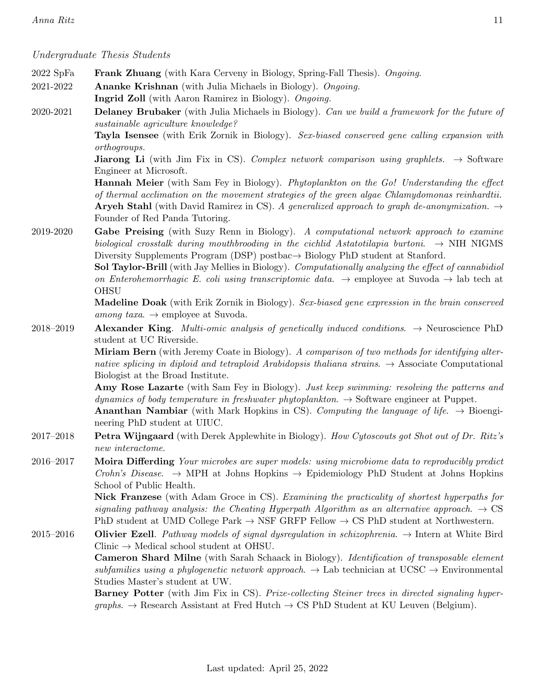Undergraduate Thesis Students

- 2022 SpFa Frank Zhuang (with Kara Cerveny in Biology, Spring-Fall Thesis). Ongoing.
- 2021-2022 Ananke Krishnan (with Julia Michaels in Biology). Ongoing.
	- Ingrid Zoll (with Aaron Ramirez in Biology). Ongoing.
- 2020-2021 Delaney Brubaker (with Julia Michaels in Biology). Can we build a framework for the future of sustainable agriculture knowledge?

Tayla Isensee (with Erik Zornik in Biology). Sex-biased conserved gene calling expansion with orthogroups.

**Jiarong Li** (with Jim Fix in CS). Complex network comparison using graphlets.  $\rightarrow$  Software Engineer at Microsoft.

Hannah Meier (with Sam Fey in Biology). Phytoplankton on the Go! Understanding the effect of thermal acclimation on the movement strategies of the green algae Chlamydomonas reinhardtii. **Aryeh Stahl** (with David Ramirez in CS). A generalized approach to graph de-anonymization.  $\rightarrow$ 

Founder of Red Panda Tutoring.

2019-2020 Gabe Preising (with Suzy Renn in Biology). A computational network approach to examine biological crosstalk during mouthbrooding in the cichlid Astatotilapia burtoni.  $\rightarrow$  NIH NIGMS Diversity Supplements Program (DSP) postbac→ Biology PhD student at Stanford.

> Sol Taylor-Brill (with Jay Mellies in Biology). Computationally analyzing the effect of cannabidiol on Enterohemorrhagic E. coli using transcriptomic data.  $\rightarrow$  employee at Suvoda  $\rightarrow$  lab tech at **OHSU**

> Madeline Doak (with Erik Zornik in Biology). Sex-biased gene expression in the brain conserved among taxa.  $\rightarrow$  employee at Suvoda.

2018–2019 Alexander King. Multi-omic analysis of genetically induced conditions.  $\rightarrow$  Neuroscience PhD student at UC Riverside.

> Miriam Bern (with Jeremy Coate in Biology). A comparison of two methods for identifying alternative splicing in diploid and tetraploid Arabidopsis thaliana strains.  $\rightarrow$  Associate Computational Biologist at the Broad Institute.

> Amy Rose Lazarte (with Sam Fey in Biology). Just keep swimming: resolving the patterns and dynamics of body temperature in freshwater phytoplankton.  $\rightarrow$  Software engineer at Puppet.

**Ananthan Nambiar** (with Mark Hopkins in CS). Computing the language of life.  $\rightarrow$  Bioengineering PhD student at UIUC.

- 2017–2018 Petra Wijngaard (with Derek Applewhite in Biology). How Cytoscouts got Shot out of Dr. Ritz's new interactome.
- 2016–2017 Moira Differding Your microbes are super models: using microbiome data to reproducibly predict Crohn's Disease.  $\rightarrow$  MPH at Johns Hopkins  $\rightarrow$  Epidemiology PhD Student at Johns Hopkins School of Public Health.

Nick Franzese (with Adam Groce in CS). Examining the practicality of shortest hyperpaths for signaling pathway analysis: the Cheating Hyperpath Algorithm as an alternative approach.  $\rightarrow$  CS PhD student at UMD College Park  $\rightarrow$  NSF GRFP Fellow  $\rightarrow$  CS PhD student at Northwestern.

2015–2016 Olivier Ezell. Pathway models of signal dysregulation in schizophrenia.  $\rightarrow$  Intern at White Bird  $Clinic \rightarrow Medical school student at OHSU.$ 

Cameron Shard Milne (with Sarah Schaack in Biology). Identification of transposable element subfamilies using a phylogenetic network approach.  $\rightarrow$  Lab technician at UCSC  $\rightarrow$  Environmental Studies Master's student at UW.

**Barney Potter** (with Jim Fix in CS). Prize-collecting Steiner trees in directed signaling hyper $graphs. \rightarrow Research Assistant$  at Fred Hutch  $\rightarrow CS PhD$  Student at KU Leuven (Belgium).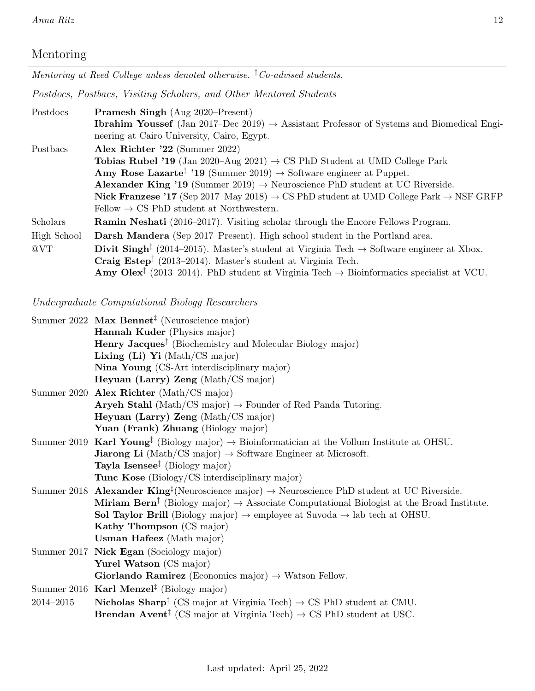# Mentoring

Mentoring at Reed College unless denoted otherwise.  ${}^{\ddagger}$ Co-advised students.

Postdocs, Postbacs, Visiting Scholars, and Other Mentored Students

| Postdocs    | <b>Pramesh Singh</b> (Aug 2020–Present)                                                                                 |
|-------------|-------------------------------------------------------------------------------------------------------------------------|
|             | <b>Ibrahim Youssef</b> (Jan 2017–Dec 2019) $\rightarrow$ Assistant Professor of Systems and Biomedical Engi-            |
|             | neering at Cairo University, Cairo, Egypt.                                                                              |
| Postbacs    | Alex Richter '22 (Summer 2022)                                                                                          |
|             | <b>Tobias Rubel '19</b> (Jan 2020–Aug 2021) $\rightarrow$ CS PhD Student at UMD College Park                            |
|             | <b>Amy Rose Lazarte<sup>†</sup></b> '19 (Summer 2019) $\rightarrow$ Software engineer at Puppet.                        |
|             | Alexander King '19 (Summer 2019) $\rightarrow$ Neuroscience PhD student at UC Riverside.                                |
|             | <b>Nick Franzese '17</b> (Sep 2017–May 2018) $\rightarrow$ CS PhD student at UMD College Park $\rightarrow$ NSF GRFP    |
|             | Fellow $\rightarrow$ CS PhD student at Northwestern.                                                                    |
| Scholars    | <b>Ramin Neshati</b> (2016–2017). Visiting scholar through the Encore Fellows Program.                                  |
| High School | <b>Darsh Mandera</b> (Sep 2017–Present). High school student in the Portland area.                                      |
| @VT         | <b>Divit Singh</b> <sup>†</sup> (2014–2015). Master's student at Virginia Tech $\rightarrow$ Software engineer at Xbox. |
|             | <b>Craig Estep</b> <sup><math>\ddagger</math></sup> (2013–2014). Master's student at Virginia Tech.                     |
|             | <b>Amy Olex</b> <sup>†</sup> (2013–2014). PhD student at Virginia Tech $\rightarrow$ Bioinformatics specialist at VCU.  |

Undergraduate Computational Biology Researchers

|           | Summer 2022 Max Bennet <sup><math>\ddagger</math></sup> (Neuroscience major)                                           |
|-----------|------------------------------------------------------------------------------------------------------------------------|
|           | Hannah Kuder (Physics major)                                                                                           |
|           | <b>Henry Jacques</b> <sup><math>\ddagger</math></sup> (Biochemistry and Molecular Biology major)                       |
|           | Lixing (Li) Yi (Math/CS major)                                                                                         |
|           | Nina Young (CS-Art interdisciplinary major)                                                                            |
|           | Heyuan (Larry) Zeng (Math/CS major)                                                                                    |
|           | Summer 2020 Alex Richter (Math/CS major)                                                                               |
|           | <b>Aryeh Stahl</b> (Math/CS major) $\rightarrow$ Founder of Red Panda Tutoring.                                        |
|           | Heyuan (Larry) Zeng (Math/CS major)                                                                                    |
|           | Yuan (Frank) Zhuang (Biology major)                                                                                    |
|           | Summer 2019 Karl Young <sup>‡</sup> (Biology major) $\rightarrow$ Bioinformatician at the Vollum Institute at OHSU.    |
|           | <b>Jiarong Li</b> (Math/CS major) $\rightarrow$ Software Engineer at Microsoft.                                        |
|           | Tayla Isensee <sup><math>\ddagger</math></sup> (Biology major)                                                         |
|           | <b>Tunc Kose</b> (Biology/CS interdisciplinary major)                                                                  |
|           | Summer 2018 Alexander King <sup>‡</sup> (Neuroscience major) $\rightarrow$ Neuroscience PhD student at UC Riverside.   |
|           | Miriam Bern <sup>‡</sup> (Biology major) $\rightarrow$ Associate Computational Biologist at the Broad Institute.       |
|           | <b>Sol Taylor Brill</b> (Biology major) $\rightarrow$ employee at Suvoda $\rightarrow$ lab tech at OHSU.               |
|           | Kathy Thompson (CS major)                                                                                              |
|           | <b>Usman Hafeez</b> (Math major)                                                                                       |
|           | Summer 2017 Nick Egan (Sociology major)                                                                                |
|           | Yurel Watson (CS major)                                                                                                |
|           | Giorlando Ramirez (Economics major) $\rightarrow$ Watson Fellow.                                                       |
|           | Summer 2016 Karl Menzel <sup>‡</sup> (Biology major)                                                                   |
| 2014-2015 | <b>Nicholas Sharp</b> <sup>†</sup> (CS major at Virginia Tech) $\rightarrow$ CS PhD student at CMU.                    |
|           | <b>Brendan Avent</b> <sup><math>\ddagger</math></sup> (CS major at Virginia Tech) $\rightarrow$ CS PhD student at USC. |
|           |                                                                                                                        |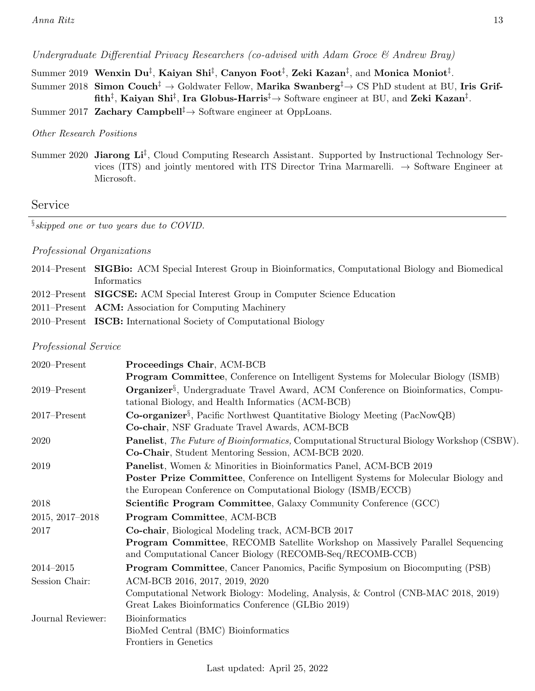Undergraduate Differential Privacy Researchers (co-advised with Adam Groce & Andrew Bray)

- Summer 2019 Wenxin Du‡, Kaiyan Shi‡, Canyon Foot $^\ddag$ , Zeki Kazan $^\ddag$ , and Monica Moniot $^\ddag$ .
- Summer 2018 Simon Couch<sup> $\ddagger$ </sup> → Goldwater Fellow, Marika Swanberg<sup> $\ddagger$ </sup> → CS PhD student at BU, Iris Grif- ${\tt fith}^\ddag,$  Kaiyan Shi $^\ddag,$  Ira Globus-Harris $^\ddag$   $\to$  Software engineer at BU, and Zeki Kazan $^\ddag.$

Summer 2017 Zachary Campbell<sup>‡</sup> $\rightarrow$  Software engineer at OppLoans.

#### Other Research Positions

Summer 2020 Jiarong Li<sup>‡</sup>, Cloud Computing Research Assistant. Supported by Instructional Technology Services (ITS) and jointly mentored with ITS Director Trina Marmarelli.  $\rightarrow$  Software Engineer at Microsoft.

# <span id="page-12-0"></span>Service

 $\S$ skipped one or two years due to COVID.

#### Professional Organizations

2014–Present SIGBio: ACM Special Interest Group in Bioinformatics, Computational Biology and Biomedical Informatics 2012–Present SIGCSE: ACM Special Interest Group in Computer Science Education 2011–Present ACM: Association for Computing Machinery 2010–Present ISCB: International Society of Computational Biology

#### Professional Service

| $2020$ -Present   | Proceedings Chair, ACM-BCB                                                                                |
|-------------------|-----------------------------------------------------------------------------------------------------------|
|                   | <b>Program Committee, Conference on Intelligent Systems for Molecular Biology (ISMB)</b>                  |
| $2019 -$ Present  | <b>Organizer</b> <sup>§</sup> , Undergraduate Travel Award, ACM Conference on Bioinformatics, Compu-      |
|                   | tational Biology, and Health Informatics (ACM-BCB)                                                        |
| $2017$ -Present   | <b>Co-organizer</b> <sup>§</sup> , Pacific Northwest Quantitative Biology Meeting (PacNowQB)              |
|                   | Co-chair, NSF Graduate Travel Awards, ACM-BCB                                                             |
| 2020              | <b>Panelist</b> , <i>The Future of Bioinformatics</i> , Computational Structural Biology Workshop (CSBW). |
|                   | Co-Chair, Student Mentoring Session, ACM-BCB 2020.                                                        |
| 2019              | <b>Panelist</b> , Women & Minorities in Bioinformatics Panel, ACM-BCB 2019                                |
|                   | <b>Poster Prize Committee, Conference on Intelligent Systems for Molecular Biology and</b>                |
|                   | the European Conference on Computational Biology (ISMB/ECCB)                                              |
| 2018              | <b>Scientific Program Committee, Galaxy Community Conference (GCC)</b>                                    |
| 2015, 2017-2018   | Program Committee, ACM-BCB                                                                                |
| 2017              | Co-chair, Biological Modeling track, ACM-BCB 2017                                                         |
|                   | <b>Program Committee, RECOMB Satellite Workshop on Massively Parallel Sequencing</b>                      |
|                   | and Computational Cancer Biology (RECOMB-Seq/RECOMB-CCB)                                                  |
| $2014 - 2015$     | <b>Program Committee, Cancer Panomics, Pacific Symposium on Biocomputing (PSB)</b>                        |
| Session Chair:    | ACM-BCB 2016, 2017, 2019, 2020                                                                            |
|                   | Computational Network Biology: Modeling, Analysis, & Control (CNB-MAC 2018, 2019)                         |
|                   | Great Lakes Bioinformatics Conference (GLBio 2019)                                                        |
| Journal Reviewer: | <b>Bioinformatics</b>                                                                                     |
|                   | BioMed Central (BMC) Bioinformatics                                                                       |
|                   | Frontiers in Genetics                                                                                     |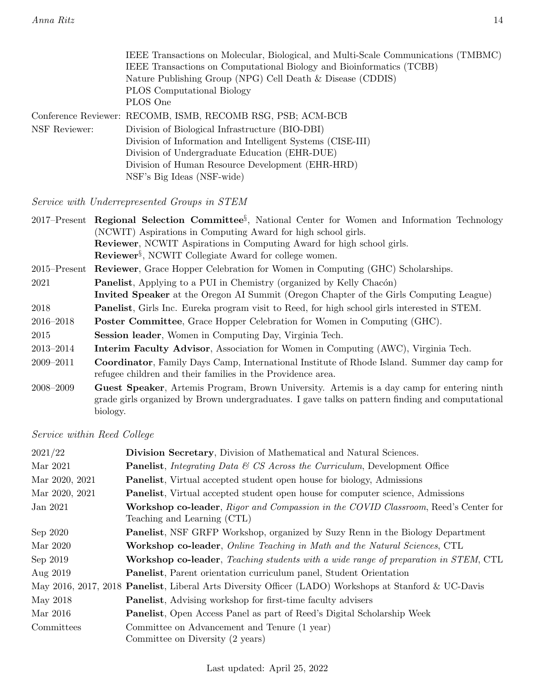|               | IEEE Transactions on Molecular, Biological, and Multi-Scale Communications (TMBMC) |
|---------------|------------------------------------------------------------------------------------|
|               | IEEE Transactions on Computational Biology and Bioinformatics (TCBB)               |
|               | Nature Publishing Group (NPG) Cell Death & Disease (CDDIS)                         |
|               | <b>PLOS</b> Computational Biology                                                  |
|               | PLOS One                                                                           |
|               | Conference Reviewer: RECOMB, ISMB, RECOMB RSG, PSB; ACM-BCB                        |
| NSF Reviewer: | Division of Biological Infrastructure (BIO-DBI)                                    |
|               | Division of Information and Intelligent Systems (CISE-III)                         |
|               | Division of Undergraduate Education (EHR-DUE)                                      |
|               | Division of Human Resource Development (EHR-HRD)                                   |
|               | NSF's Big Ideas (NSF-wide)                                                         |

Service with Underrepresented Groups in STEM

|               | 2017–Present Regional Selection Committee <sup>§</sup> , National Center for Women and Information Technology                                                                                              |
|---------------|------------------------------------------------------------------------------------------------------------------------------------------------------------------------------------------------------------|
|               | (NCWIT) Aspirations in Computing Award for high school girls.                                                                                                                                              |
|               | Reviewer, NCWIT Aspirations in Computing Award for high school girls.                                                                                                                                      |
|               | Reviewer <sup>§</sup> , NCWIT Collegiate Award for college women.                                                                                                                                          |
|               | 2015–Present Reviewer, Grace Hopper Celebration for Women in Computing (GHC) Scholarships.                                                                                                                 |
| 2021          | <b>Panelist</b> , Applying to a PUI in Chemistry (organized by Kelly Chacón)                                                                                                                               |
|               | Invited Speaker at the Oregon AI Summit (Oregon Chapter of the Girls Computing League)                                                                                                                     |
| 2018          | <b>Panelist</b> , Girls Inc. Eureka program visit to Reed, for high school girls interested in STEM.                                                                                                       |
| $2016 - 2018$ | <b>Poster Committee,</b> Grace Hopper Celebration for Women in Computing (GHC).                                                                                                                            |
| 2015          | <b>Session leader</b> , Women in Computing Day, Virginia Tech.                                                                                                                                             |
| 2013-2014     | <b>Interim Faculty Advisor</b> , Association for Women in Computing (AWC), Virginia Tech.                                                                                                                  |
| 2009–2011     | <b>Coordinator</b> , Family Days Camp, International Institute of Rhode Island. Summer day camp for<br>refugee children and their families in the Providence area.                                         |
| $2008 - 2009$ | Guest Speaker, Artemis Program, Brown University. Artemis is a day camp for entering ninth<br>grade girls organized by Brown undergraduates. I gave talks on pattern finding and computational<br>biology. |

Service within Reed College

| 2021/22        | Division Secretary, Division of Mathematical and Natural Sciences.                                                |
|----------------|-------------------------------------------------------------------------------------------------------------------|
| Mar 2021       | <b>Panelist</b> , <i>Integrating Data &amp; CS Across the Curriculum</i> , Development Office                     |
| Mar 2020, 2021 | <b>Panelist</b> , Virtual accepted student open house for biology, Admissions                                     |
| Mar 2020, 2021 | <b>Panelist</b> , Virtual accepted student open house for computer science, Admissions                            |
| Jan 2021       | Workshop co-leader, Rigor and Compassion in the COVID Classroom, Reed's Center for<br>Teaching and Learning (CTL) |
| Sep 2020       | Panelist, NSF GRFP Workshop, organized by Suzy Renn in the Biology Department                                     |
| Mar 2020       | Workshop co-leader, Online Teaching in Math and the Natural Sciences, CTL                                         |
| Sep 2019       | <b>Workshop co-leader</b> , Teaching students with a wide range of preparation in STEM, CTL                       |
| Aug 2019       | <b>Panelist</b> , Parent orientation curriculum panel, Student Orientation                                        |
|                | May 2016, 2017, 2018 Panelist, Liberal Arts Diversity Officer (LADO) Workshops at Stanford & UC-Davis             |
| May 2018       | <b>Panelist</b> , Advising workshop for first-time faculty advisers                                               |
| Mar 2016       | <b>Panelist</b> , Open Access Panel as part of Reed's Digital Scholarship Week                                    |
| Committees     | Committee on Advancement and Tenure (1 year)                                                                      |
|                | Committee on Diversity (2 years)                                                                                  |